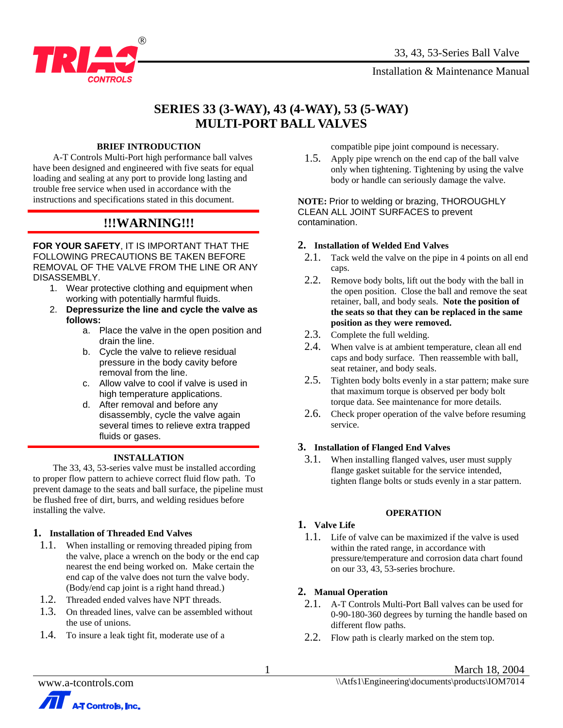

# **SERIES 33 (3-WAY), 43 (4-WAY), 53 (5-WAY) MULTI-PORT BALL VALVES**

### **BRIEF INTRODUCTION**

 A-T Controls Multi-Port high performance ball valves have been designed and engineered with five seats for equal loading and sealing at any port to provide long lasting and trouble free service when used in accordance with the instructions and specifications stated in this document.

## **!!!WARNING!!!**

**FOR YOUR SAFETY**, IT IS IMPORTANT THAT THE FOLLOWING PRECAUTIONS BE TAKEN BEFORE REMOVAL OF THE VALVE FROM THE LINE OR ANY DISASSEMBLY.

- 1. Wear protective clothing and equipment when working with potentially harmful fluids.
- 2. **Depressurize the line and cycle the valve as follows:** 
	- a. Place the valve in the open position and drain the line.
	- b. Cycle the valve to relieve residual pressure in the body cavity before removal from the line.
	- c. Allow valve to cool if valve is used in high temperature applications.
	- d. After removal and before any disassembly, cycle the valve again several times to relieve extra trapped fluids or gases.

#### **INSTALLATION**

 The 33, 43, 53-series valve must be installed according to proper flow pattern to achieve correct fluid flow path. To prevent damage to the seats and ball surface, the pipeline must be flushed free of dirt, burrs, and welding residues before installing the valve.

## **1. Installation of Threaded End Valves**

- 1.1. When installing or removing threaded piping from the valve, place a wrench on the body or the end cap nearest the end being worked on. Make certain the end cap of the valve does not turn the valve body. (Body/end cap joint is a right hand thread.)
- 1.2. Threaded ended valves have NPT threads.
- 1.3. On threaded lines, valve can be assembled without the use of unions.
- 1.4. To insure a leak tight fit, moderate use of a

compatible pipe joint compound is necessary.

1.5. Apply pipe wrench on the end cap of the ball valve only when tightening. Tightening by using the valve body or handle can seriously damage the valve.

**NOTE:** Prior to welding or brazing, THOROUGHLY CLEAN ALL JOINT SURFACES to prevent contamination.

#### **2. Installation of Welded End Valves**

- 2.1. Tack weld the valve on the pipe in 4 points on all end caps.
- 2.2. Remove body bolts, lift out the body with the ball in the open position. Close the ball and remove the seat retainer, ball, and body seals. **Note the position of the seats so that they can be replaced in the same position as they were removed.**
- 2.3. Complete the full welding.
- 2.4. When valve is at ambient temperature, clean all end caps and body surface. Then reassemble with ball, seat retainer, and body seals.
- 2.5. Tighten body bolts evenly in a star pattern; make sure that maximum torque is observed per body bolt torque data. See maintenance for more details.
- 2.6. Check proper operation of the valve before resuming service.

#### **3. Installation of Flanged End Valves**

3.1. When installing flanged valves, user must supply flange gasket suitable for the service intended, tighten flange bolts or studs evenly in a star pattern.

#### **OPERATION**

#### **1. Valve Life**

1.1. Life of valve can be maximized if the valve is used within the rated range, in accordance with pressure/temperature and corrosion data chart found on our 33, 43, 53-series brochure.

## **2. Manual Operation**

- 2.1. A-T Controls Multi-Port Ball valves can be used for 0-90-180-360 degrees by turning the handle based on different flow paths.
- 2.2. Flow path is clearly marked on the stem top.



1 March 18, 2004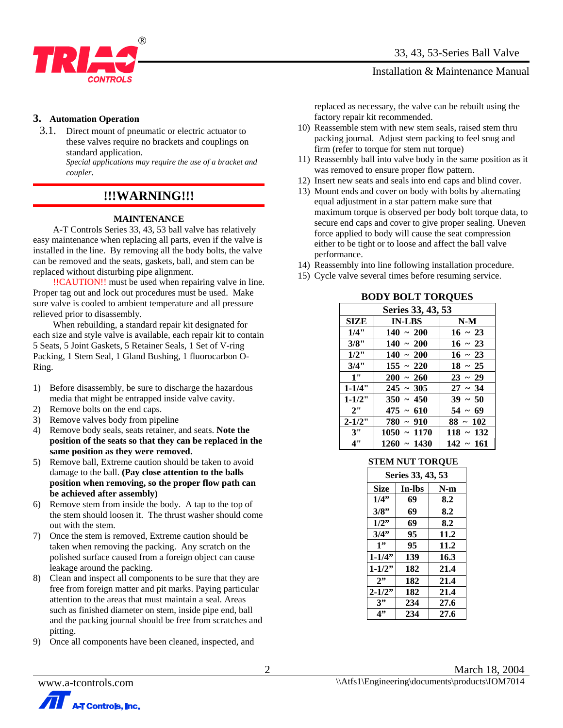

#### **3. Automation Operation**

3.1. Direct mount of pneumatic or electric actuator to these valves require no brackets and couplings on standard application.

*Special applications may require the use of a bracket and coupler.*

## **!!!WARNING!!!**

#### **MAINTENANCE**

 A-T Controls Series 33, 43, 53 ball valve has relatively easy maintenance when replacing all parts, even if the valve is installed in the line. By removing all the body bolts, the valve can be removed and the seats, gaskets, ball, and stem can be replaced without disturbing pipe alignment.

 !!CAUTION!! must be used when repairing valve in line. Proper tag out and lock out procedures must be used. Make sure valve is cooled to ambient temperature and all pressure relieved prior to disassembly.

 When rebuilding, a standard repair kit designated for each size and style valve is available, each repair kit to contain 5 Seats, 5 Joint Gaskets, 5 Retainer Seals, 1 Set of V-ring Packing, 1 Stem Seal, 1 Gland Bushing, 1 fluorocarbon O-Ring.

- 1) Before disassembly, be sure to discharge the hazardous media that might be entrapped inside valve cavity.
- 2) Remove bolts on the end caps.
- 3) Remove valves body from pipeline
- 4) Remove body seals, seats retainer, and seats. **Note the position of the seats so that they can be replaced in the same position as they were removed.**
- 5) Remove ball, Extreme caution should be taken to avoid damage to the ball. **(Pay close attention to the balls position when removing, so the proper flow path can be achieved after assembly)**
- 6) Remove stem from inside the body. A tap to the top of the stem should loosen it. The thrust washer should come out with the stem.
- 7) Once the stem is removed, Extreme caution should be taken when removing the packing. Any scratch on the polished surface caused from a foreign object can cause leakage around the packing.
- 8) Clean and inspect all components to be sure that they are free from foreign matter and pit marks. Paying particular attention to the areas that must maintain a seal. Areas such as finished diameter on stem, inside pipe end, ball and the packing journal should be free from scratches and pitting.
- 9) Once all components have been cleaned, inspected, and

replaced as necessary, the valve can be rebuilt using the factory repair kit recommended.

- 10) Reassemble stem with new stem seals, raised stem thru packing journal. Adjust stem packing to feel snug and firm (refer to torque for stem nut torque)
- 11) Reassembly ball into valve body in the same position as it was removed to ensure proper flow pattern.
- 12) Insert new seats and seals into end caps and blind cover.
- 13) Mount ends and cover on body with bolts by alternating equal adjustment in a star pattern make sure that maximum torque is observed per body bolt torque data, to secure end caps and cover to give proper sealing. Uneven force applied to body will cause the seat compression either to be tight or to loose and affect the ball valve performance.
- 14) Reassembly into line following installation procedure.

**BODY BOLT TOBOLIES** 

15) Cycle valve several times before resuming service.

| DUD I DULL TUNQUES |                |                |  |  |  |
|--------------------|----------------|----------------|--|--|--|
| Series 33, 43, 53  |                |                |  |  |  |
| <b>SIZE</b>        | <b>IN-LBS</b>  | $N-M$          |  |  |  |
| 1/4"               | $140 - 200$    | $16 \sim 23$   |  |  |  |
| 3/8"               | $140 - 200$    | $16 \sim 23$   |  |  |  |
| $1/2$ "            | $140 - 200$    | $16 - 23$      |  |  |  |
| 3/4"               | $155 - 220$    | $18 \sim 25$   |  |  |  |
| 1"                 | $200 - 260$    | $23 - 29$      |  |  |  |
| $1 - 1/4"$         | $245 \sim 305$ | $27 - 34$      |  |  |  |
| $1 - 1/2"$         | $350 - 450$    | $39 - 50$      |  |  |  |
| 2"                 | $475 - 610$    | $54 \sim 69$   |  |  |  |
| $2 - 1/2"$         | $780 - 910$    | $88 \sim 102$  |  |  |  |
| 3"                 | $1050 - 1170$  | $118 - 132$    |  |  |  |
| 4"                 | $1260 - 1430$  | $142 \sim 161$ |  |  |  |

#### **STEM NUT TORQUE**

| Series 33, 43, 53 |        |       |  |  |
|-------------------|--------|-------|--|--|
| Size              | In-lbs | $N-m$ |  |  |
| 1/4"              | 69     | 8.2   |  |  |
| 3/8"<br>69        |        | 8.2   |  |  |
| 1/2"              | 69     | 8.2   |  |  |
| 3/4"              | 95     | 11.2  |  |  |
| 1, 7              | 95     | 11.2  |  |  |
| $1 - 1/4$ "       | 139    | 16.3  |  |  |
| $1 - 1/2$ "       | 182    | 21.4  |  |  |
| 2                 | 182    | 21.4  |  |  |
| $2 - 1/2$ "       | 182    | 21.4  |  |  |
| 3"                | 234    | 27.6  |  |  |
| 4"<br>234<br>27.6 |        |       |  |  |

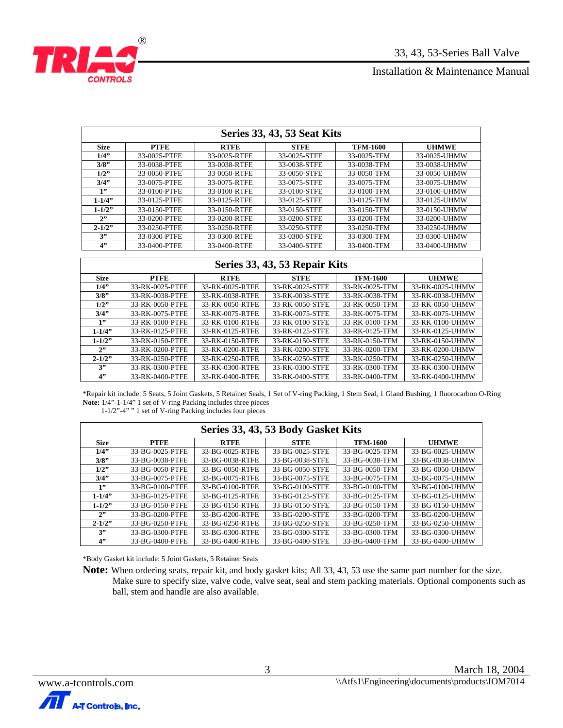

|             | Series 33, 43, 53 Seat Kits |              |              |                 |              |  |
|-------------|-----------------------------|--------------|--------------|-----------------|--------------|--|
| <b>Size</b> | <b>PTFE</b>                 | <b>RTFE</b>  | <b>STFE</b>  | <b>TFM-1600</b> | <b>UHMWE</b> |  |
| $1/4$ "     | 33-0025-PTFE                | 33-0025-RTFE | 33-0025-STFE | 33-0025-TFM     | 33-0025-UHMW |  |
| 3/8"        | 33-0038-PTFE                | 33-0038-RTFE | 33-0038-STFE | 33-0038-TFM     | 33-0038-UHMW |  |
| 1/2"        | 33-0050-PTFE                | 33-0050-RTFE | 33-0050-STFE | 33-0050-TFM     | 33-0050-UHMW |  |
| 3/4"        | 33-0075-PTFE                | 33-0075-RTFE | 33-0075-STFE | 33-0075-TFM     | 33-0075-UHMW |  |
| 1"          | 33-0100-PTFE                | 33-0100-RTFE | 33-0100-STFE | 33-0100-TFM     | 33-0100-UHMW |  |
| $1 - 1/4$ " | 33-0125-PTFE                | 33-0125-RTFE | 33-0125-STFE | 33-0125-TFM     | 33-0125-UHMW |  |
| $1 - 1/2"$  | 33-0150-PTFE                | 33-0150-RTFE | 33-0150-STFE | 33-0150-TFM     | 33-0150-UHMW |  |
| 2"          | 33-0200-PTFE                | 33-0200-RTFE | 33-0200-STFE | 33-0200-TFM     | 33-0200-UHMW |  |
| $2 - 1/2"$  | 33-0250-PTFE                | 33-0250-RTFE | 33-0250-STFE | 33-0250-TFM     | 33-0250-UHMW |  |
| 3"          | 33-0300-PTFE                | 33-0300-RTFE | 33-0300-STFE | 33-0300-TFM     | 33-0300-UHMW |  |
| 4"          | 33-0400-PTFE                | 33-0400-RTFE | 33-0400-STFE | 33-0400-TFM     | 33-0400-UHMW |  |

## **Series 33, 43, 53 Repair Kits**

| <b>Size</b> | <b>PTFE</b>     | <b>RTFE</b>     | <b>STFE</b>     | <b>TFM-1600</b> | <b>UHMWE</b>    |
|-------------|-----------------|-----------------|-----------------|-----------------|-----------------|
| 1/4"        | 33-RK-0025-PTFE | 33-RK-0025-RTFE | 33-RK-0025-STFE | 33-RK-0025-TFM  | 33-RK-0025-UHMW |
| 3/8"        | 33-RK-0038-PTFE | 33-RK-0038-RTFE | 33-RK-0038-STFE | 33-RK-0038-TFM  | 33-RK-0038-UHMW |
| $1/2$ "     | 33-RK-0050-PTFE | 33-RK-0050-RTFE | 33-RK-0050-STFE | 33-RK-0050-TFM  | 33-RK-0050-UHMW |
| 3/4"        | 33-RK-0075-PTFE | 33-RK-0075-RTFE | 33-RK-0075-STFE | 33-RK-0075-TFM  | 33-RK-0075-UHMW |
| 1"          | 33-RK-0100-PTFE | 33-RK-0100-RTFE | 33-RK-0100-STFE | 33-RK-0100-TFM  | 33-RK-0100-UHMW |
| $1 - 1/4$   | 33-RK-0125-PTFE | 33-RK-0125-RTFE | 33-RK-0125-STFE | 33-RK-0125-TFM  | 33-RK-0125-UHMW |
| $1 - 1/2$   | 33-RK-0150-PTFE | 33-RK-0150-RTFE | 33-RK-0150-STFE | 33-RK-0150-TFM  | 33-RK-0150-UHMW |
| 2"          | 33-RK-0200-PTFE | 33-RK-0200-RTFE | 33-RK-0200-STFE | 33-RK-0200-TFM  | 33-RK-0200-UHMW |
| $2 - 1/2$ " | 33-RK-0250-PTFE | 33-RK-0250-RTFE | 33-RK-0250-STFE | 33-RK-0250-TFM  | 33-RK-0250-UHMW |
| 3"          | 33-RK-0300-PTFE | 33-RK-0300-RTFE | 33-RK-0300-STFE | 33-RK-0300-TFM  | 33-RK-0300-UHMW |
| 4"          | 33-RK-0400-PTFE | 33-RK-0400-RTFE | 33-RK-0400-STFE | 33-RK-0400-TFM  | 33-RK-0400-UHMW |

 \*Repair kit include: 5 Seats, 5 Joint Gaskets, 5 Retainer Seals, 1 Set of V-ring Packing, 1 Stem Seal, 1 Gland Bushing, 1 fluorocarbon O-Ring **Note:** 1/4"-1-1/4" 1 set of V-ring Packing includes three pieces

1-1/2"-4" " 1 set of V-ring Packing includes four pieces

|             | Series 33, 43, 53 Body Gasket Kits |                 |                 |                 |                 |
|-------------|------------------------------------|-----------------|-----------------|-----------------|-----------------|
| <b>Size</b> | <b>PTFE</b>                        | <b>RTFE</b>     | <b>STFE</b>     | <b>TFM-1600</b> | <b>UHMWE</b>    |
| $1/4$ "     | 33-BG-0025-PTFE                    | 33-BG-0025-RTFE | 33-BG-0025-STFE | 33-BG-0025-TFM  | 33-BG-0025-UHMW |
| 3/8"        | 33-BG-0038-PTFE                    | 33-BG-0038-RTFE | 33-BG-0038-STFE | 33-BG-0038-TFM  | 33-BG-0038-UHMW |
| $1/2$ "     | 33-BG-0050-PTFE                    | 33-BG-0050-RTFE | 33-BG-0050-STFE | 33-BG-0050-TFM  | 33-BG-0050-UHMW |
| 3/4"        | 33-BG-0075-PTFE                    | 33-BG-0075-RTFE | 33-BG-0075-STFE | 33-BG-0075-TFM  | 33-BG-0075-UHMW |
| 1"          | 33-BG-0100-PTFE                    | 33-BG-0100-RTFE | 33-BG-0100-STFE | 33-BG-0100-TFM  | 33-BG-0100-UHMW |
| $1 - 1/4$   | 33-BG-0125-PTFE                    | 33-BG-0125-RTFE | 33-BG-0125-STFE | 33-BG-0125-TFM  | 33-BG-0125-UHMW |
| $1 - 1/2$ " | 33-BG-0150-PTFE                    | 33-BG-0150-RTFE | 33-BG-0150-STFE | 33-BG-0150-TFM  | 33-BG-0150-UHMW |
| 2"          | 33-BG-0200-PTFE                    | 33-BG-0200-RTFE | 33-BG-0200-STFE | 33-BG-0200-TFM  | 33-BG-0200-UHMW |
| $2 - 1/2$ " | 33-BG-0250-PTFE                    | 33-BG-0250-RTFE | 33-BG-0250-STFE | 33-BG-0250-TFM  | 33-BG-0250-UHMW |
| 3"          | 33-BG-0300-PTFE                    | 33-BG-0300-RTFE | 33-BG-0300-STFE | 33-BG-0300-TFM  | 33-BG-0300-UHMW |
| 4"          | 33-BG-0400-PTFE                    | 33-BG-0400-RTFE | 33-BG-0400-STFE | 33-BG-0400-TFM  | 33-BG-0400-UHMW |

\*Body Gasket kit include: 5 Joint Gaskets, 5 Retainer Seals

 **Note:** When ordering seats, repair kit, and body gasket kits; All 33, 43, 53 use the same part number for the size. Make sure to specify size, valve code, valve seat, seal and stem packing materials. Optional components such as ball, stem and handle are also available.